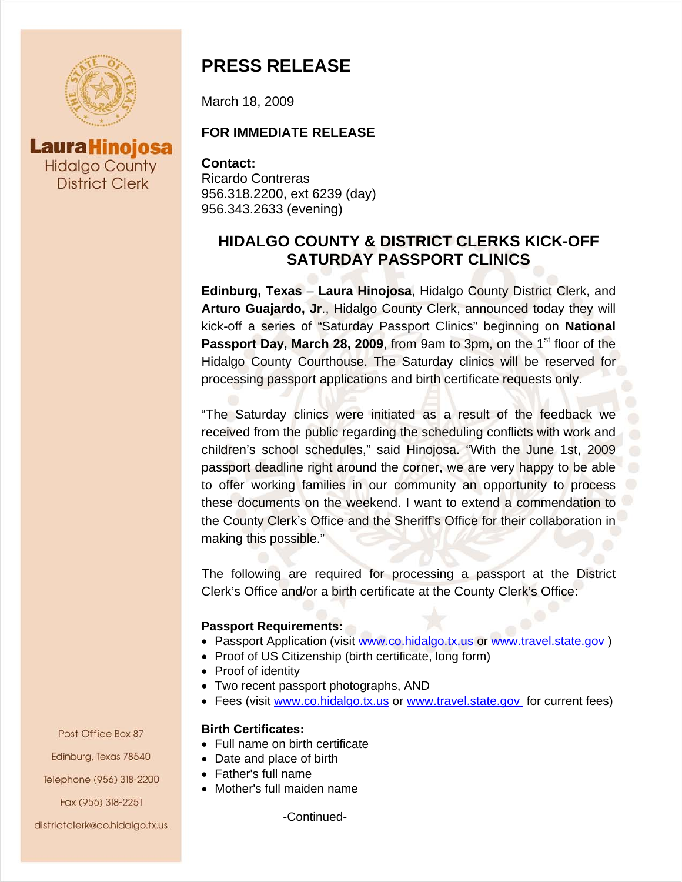

**Laura Hinojosa Hidalgo County District Clerk** 

# **PRESS RELEASE**

March 18, 2009

### **FOR IMMEDIATE RELEASE**

**Contact:** Ricardo Contreras 956.318.2200, ext 6239 (day) 956.343.2633 (evening)

## **HIDALGO COUNTY & DISTRICT CLERKS KICK-OFF SATURDAY PASSPORT CLINICS**

**Edinburg, Texas** – **Laura Hinojosa**, Hidalgo County District Clerk, and **Arturo Guajardo, Jr**., Hidalgo County Clerk, announced today they will kick-off a series of "Saturday Passport Clinics" beginning on **National**  Passport Day, March 28, 2009, from 9am to 3pm, on the 1<sup>st</sup> floor of the Hidalgo County Courthouse. The Saturday clinics will be reserved for processing passport applications and birth certificate requests only.

"The Saturday clinics were initiated as a result of the feedback we received from the public regarding the scheduling conflicts with work and children's school schedules," said Hinojosa. "With the June 1st, 2009 passport deadline right around the corner, we are very happy to be able to offer working families in our community an opportunity to process these documents on the weekend. I want to extend a commendation to the County Clerk's Office and the Sheriff's Office for their collaboration in making this possible."

The following are required for processing a passport at the District Clerk's Office and/or a birth certificate at the County Clerk's Office:

#### **Passport Requirements:**

- Passport Application (visit [www.co.hidalgo.tx.us](http://www.co.hidalgo.tx.us/) or [www.travel.state.gov](http://www.travel.state.gov/))
- Proof of US Citizenship (birth certificate, long form)
- Proof of identity
- Two recent passport photographs, AND
- Fees (visit [www.co.hidalgo.tx.us](http://www.co.hidalgo.tx.us/) or [www.travel.state.gov](http://www.travel.state.gov/) for current fees)

#### **Birth Certificates:**

- Full name on birth certificate
- Date and place of birth
- Father's full name
- Mother's full maiden name

-Continued-

Post Office Box 87 Edinburg, Texas 78540 Telephone (956) 318-2200 Fax (956) 318-2251

#### districtclerk@co.hidalgo.tx.us